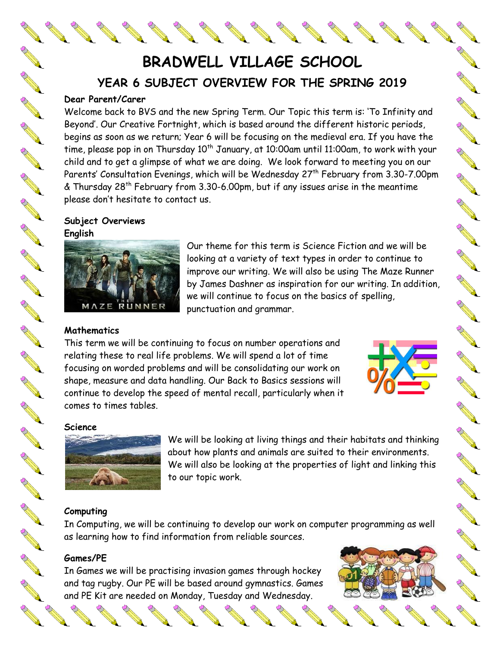**BRADWELL VILLAGE SCHOOL YEAR 6 SUBJECT OVERVIEW FOR THE SPRING 2019**

#### **Dear Parent/Carer**

AND ROAD

**AND READER** 

AND P

AND ROOM

**AND READER** 

**RANT** 

**AND ROAD** 

**RANT** 

**Contract Contract Contract Contract Contract Contract Contract Contract Contract Contract Contract Contract Co** 

A A

B Read

AND ROOM

AND ROAD

A REA

**RANCISCO** 

A A REAL

COMPARTMENT

**ANTICATION** 

**ANTICOLOGICAL CONTRACTOR** 

**ANTICOLLECTION** 

Welcome back to BVS and the new Spring Term. Our Topic this term is: 'To Infinity and Beyond'. Our Creative Fortnight, which is based around the different historic periods, begins as soon as we return; Year 6 will be focusing on the medieval era. If you have the time, please pop in on Thursday  $10^{th}$  January, at 10:00am until 11:00am, to work with your child and to get a glimpse of what we are doing. We look forward to meeting you on our Parents' Consultation Evenings, which will be Wednesday 27<sup>th</sup> February from 3.30-7.00pm  $\&$  Thursday 28<sup>th</sup> February from 3.30-6.00pm, but if any issues arise in the meantime please don't hesitate to contact us.

**Subject Overviews English**



Our theme for this term is Science Fiction and we will be looking at a variety of text types in order to continue to improve our writing. We will also be using The Maze Runner by James Dashner as inspiration for our writing. In addition, we will continue to focus on the basics of spelling, punctuation and grammar.

#### **Mathematics**

This term we will be continuing to focus on number operations and relating these to real life problems. We will spend a lot of time focusing on worded problems and will be consolidating our work on shape, measure and data handling. Our Back to Basics sessions will continue to develop the speed of mental recall, particularly when it comes to times tables.



No recent de

Control Red

RA RE

A REA

A A A

A RIVER

NA REA

A Maria

**CONTROLLER** 

NA RE

**SANTA** 

No recent of the

A A R

A March 19

#### **Science**



We will be looking at living things and their habitats and thinking about how plants and animals are suited to their environments. We will also be looking at the properties of light and linking this to our topic work.

#### **Computing**

In Computing, we will be continuing to develop our work on computer programming as well as learning how to find information from reliable sources.

#### **Games/PE**

In Games we will be practising invasion games through hockey<br>and tag rugby. Our PE will be based around gymnastics. Games<br>and PF Kit are needed on Monday, Tuesday and Wednesday. and tag rugby. Our PE will be based around gymnastics. Games and PE Kit are needed on Monday, Tuesday and Wednesday.